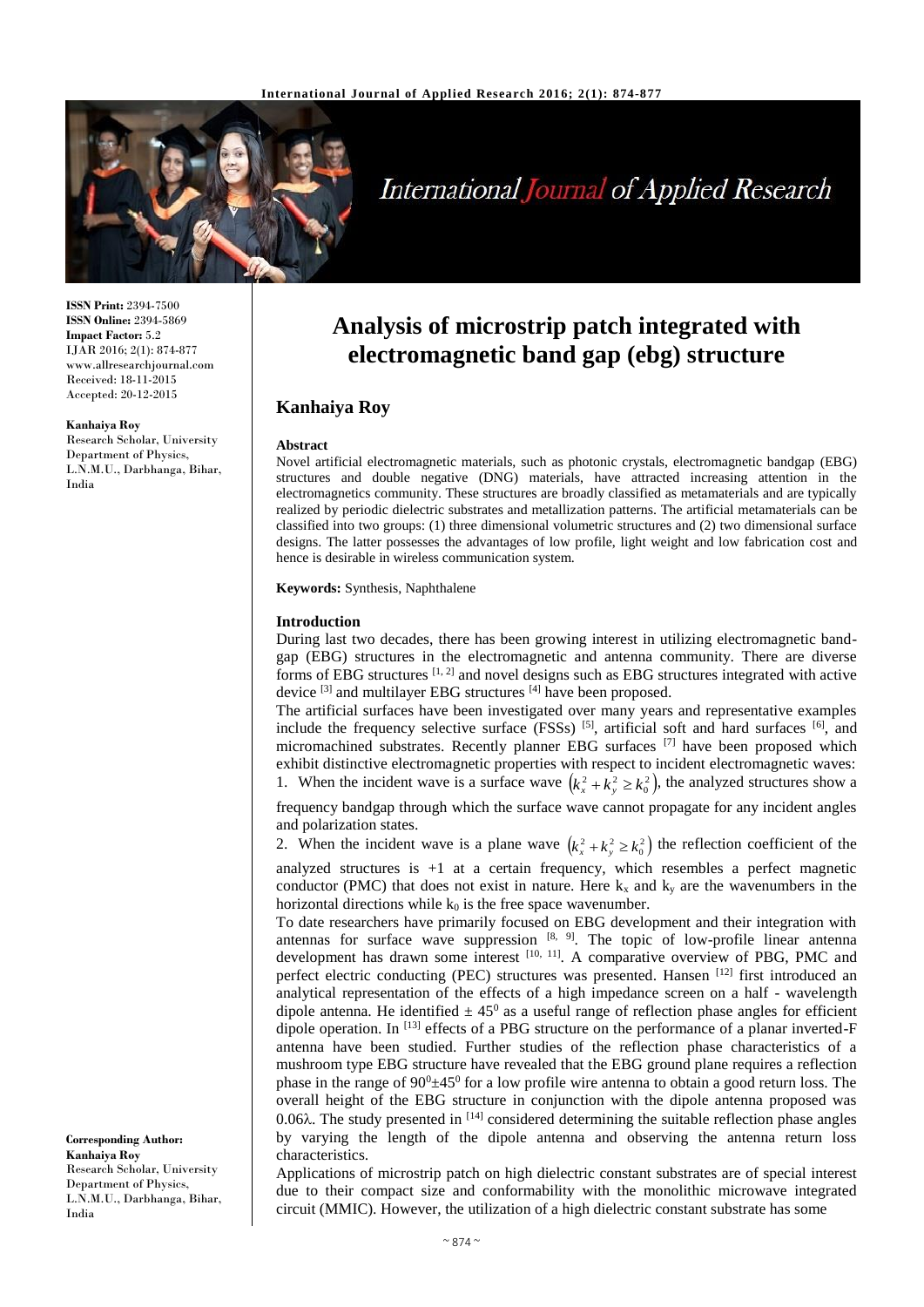

# **International Journal of Applied Research**

**ISSN Print:** 2394-7500 **ISSN Online:** 2394-5869 **Impact Factor:** 5.2 IJAR 2016; 2(1): 874-877 www.allresearchjournal.com Received: 18-11-2015 Accepted: 20-12-2015

#### **Kanhaiya Roy**

Research Scholar, University Department of Physics, L.N.M.U., Darbhanga, Bihar, India

**Analysis of microstrip patch integrated with electromagnetic band gap (ebg) structure**

# **Kanhaiya Roy**

#### **Abstract**

Novel artificial electromagnetic materials, such as photonic crystals, electromagnetic bandgap (EBG) structures and double negative (DNG) materials, have attracted increasing attention in the electromagnetics community. These structures are broadly classified as metamaterials and are typically realized by periodic dielectric substrates and metallization patterns. The artificial metamaterials can be classified into two groups: (1) three dimensional volumetric structures and (2) two dimensional surface designs. The latter possesses the advantages of low profile, light weight and low fabrication cost and hence is desirable in wireless communication system.

**Keywords:** Synthesis, Naphthalene

#### **Introduction**

During last two decades, there has been growing interest in utilizing electromagnetic bandgap (EBG) structures in the electromagnetic and antenna community. There are diverse forms of EBG structures  $[1, 2]$  and novel designs such as EBG structures integrated with active device [3] and multilayer EBG structures [4] have been proposed.

The artificial surfaces have been investigated over many years and representative examples include the frequency selective surface  $(FSSs)$  [5], artificial soft and hard surfaces [6], and micromachined substrates. Recently planner EBG surfaces <sup>[7]</sup> have been proposed which exhibit distinctive electromagnetic properties with respect to incident electromagnetic waves: 1. When the incident wave is a surface wave  $(k_x^2 + k_y^2 \ge k_0^2)$ , the analyzed structures show a

frequency bandgap through which the surface wave cannot propagate for any incident angles and polarization states.

2. When the incident wave is a plane wave  $(k_x^2 + k_y^2 \ge k_0^2)$  the reflection coefficient of the analyzed structures is  $+1$  at a certain frequency, which resembles a perfect magnetic conductor (PMC) that does not exist in nature. Here  $k_x$  and  $k_y$  are the wavenumbers in the horizontal directions while  $k_0$  is the free space wavenumber.

To date researchers have primarily focused on EBG development and their integration with antennas for surface wave suppression  $[8, 9]$ . The topic of low-profile linear antenna development has drawn some interest [10, 11]. A comparative overview of PBG, PMC and perfect electric conducting (PEC) structures was presented. Hansen [12] first introduced an analytical representation of the effects of a high impedance screen on a half - wavelength dipole antenna. He identified  $\pm 45^{\circ}$  as a useful range of reflection phase angles for efficient dipole operation. In <sup>[13]</sup> effects of a PBG structure on the performance of a planar inverted-F antenna have been studied. Further studies of the reflection phase characteristics of a mushroom type EBG structure have revealed that the EBG ground plane requires a reflection phase in the range of  $90<sup>0</sup> \pm 45<sup>0</sup>$  for a low profile wire antenna to obtain a good return loss. The overall height of the EBG structure in conjunction with the dipole antenna proposed was 0.06 $\lambda$ . The study presented in  $^{[14]}$  considered determining the suitable reflection phase angles by varying the length of the dipole antenna and observing the antenna return loss characteristics.

Applications of microstrip patch on high dielectric constant substrates are of special interest due to their compact size and conformability with the monolithic microwave integrated circuit (MMIC). However, the utilization of a high dielectric constant substrate has some

**Corresponding Author: Kanhaiya Roy** Research Scholar, University Department of Physics, L.N.M.U., Darbhanga, Bihar, India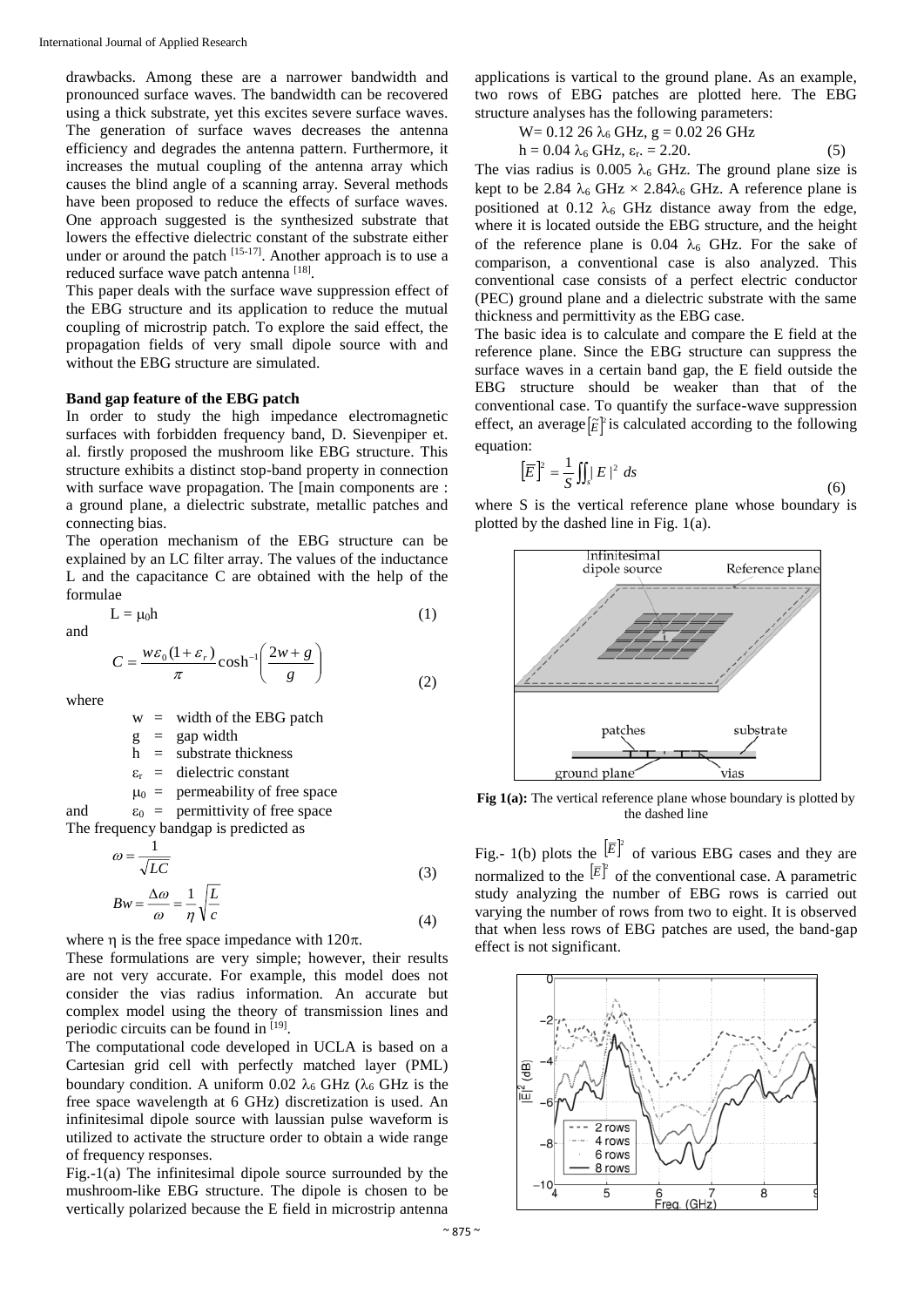drawbacks. Among these are a narrower bandwidth and pronounced surface waves. The bandwidth can be recovered using a thick substrate, yet this excites severe surface waves. The generation of surface waves decreases the antenna efficiency and degrades the antenna pattern. Furthermore, it increases the mutual coupling of the antenna array which causes the blind angle of a scanning array. Several methods have been proposed to reduce the effects of surface waves. One approach suggested is the synthesized substrate that lowers the effective dielectric constant of the substrate either under or around the patch <sup>[15-17]</sup>. Another approach is to use a reduced surface wave patch antenna [18].

This paper deals with the surface wave suppression effect of the EBG structure and its application to reduce the mutual coupling of microstrip patch. To explore the said effect, the propagation fields of very small dipole source with and without the EBG structure are simulated.

#### **Band gap feature of the EBG patch**

In order to study the high impedance electromagnetic surfaces with forbidden frequency band, D. Sievenpiper et. al. firstly proposed the mushroom like EBG structure. This structure exhibits a distinct stop-band property in connection with surface wave propagation. The Imain components are : a ground plane, a dielectric substrate, metallic patches and connecting bias.

The operation mechanism of the EBG structure can be explained by an LC filter array. The values of the inductance L and the capacitance C are obtained with the help of the formulae

$$
L = \mu_0 h \tag{1}
$$

and

$$
C = \frac{w\varepsilon_0 (1 + \varepsilon_r)}{\pi} \cosh^{-1} \left( \frac{2w + g}{g} \right)
$$
 (2)

where

 $w =$  width of the EBG patch

 $g = \text{gap width}$ 

 $h =$ substrate thickness

 $\varepsilon_r$  = dielectric constant

 $\mu_0$  = permeability of free space

and  $\varepsilon_0 =$  permittivity of free space The frequency bandgap is predicted as

$$
\omega = \frac{1}{\sqrt{LC}}
$$
(3)

$$
Bw = \frac{\Delta \omega}{\omega} = \frac{1}{\eta} \sqrt{\frac{L}{c}}
$$
(4)

where  $\eta$  is the free space impedance with 120 $\pi$ .

These formulations are very simple; however, their results are not very accurate. For example, this model does not consider the vias radius information. An accurate but complex model using the theory of transmission lines and periodic circuits can be found in [19].

The computational code developed in UCLA is based on a Cartesian grid cell with perfectly matched layer (PML) boundary condition. A uniform 0.02  $\lambda_6$  GHz ( $\lambda_6$  GHz is the free space wavelength at 6 GHz) discretization is used. An infinitesimal dipole source with laussian pulse waveform is utilized to activate the structure order to obtain a wide range of frequency responses.

Fig.-1(a) The infinitesimal dipole source surrounded by the mushroom-like EBG structure. The dipole is chosen to be vertically polarized because the E field in microstrip antenna applications is vartical to the ground plane. As an example, two rows of EBG patches are plotted here. The EBG structure analyses has the following parameters:

$$
W = 0.12 26 λ6 GHz, g = 0.02 26 GHzh = 0.04 λ6 GHz, εr. = 2.20.
$$
 (5)

The vias radius is 0.005  $\lambda_6$  GHz. The ground plane size is kept to be 2.84  $\lambda_6$  GHz  $\times$  2.84 $\lambda_6$  GHz. A reference plane is positioned at 0.12  $\lambda_6$  GHz distance away from the edge, where it is located outside the EBG structure, and the height of the reference plane is 0.04  $\lambda_6$  GHz. For the sake of comparison, a conventional case is also analyzed. This conventional case consists of a perfect electric conductor (PEC) ground plane and a dielectric substrate with the same thickness and permittivity as the EBG case.

The basic idea is to calculate and compare the E field at the reference plane. Since the EBG structure can suppress the surface waves in a certain band gap, the E field outside the EBG structure should be weaker than that of the conventional case. To quantify the surface-wave suppression effect, an average  $[\tilde{E}]$ <sup>2</sup> is calculated according to the following equation:

$$
\left[\overline{E}\right]^2 = \frac{1}{S} \iint_S |E|^2 \, ds \tag{6}
$$

where S is the vertical reference plane whose boundary is plotted by the dashed line in Fig. 1(a).



**Fig 1(a):** The vertical reference plane whose boundary is plotted by the dashed line

Fig.- 1(b) plots the  $\left[\overline{E}\right]^p$  of various EBG cases and they are normalized to the  $\left[\overline{E}\right]^p$  of the conventional case. A parametric study analyzing the number of EBG rows is carried out varying the number of rows from two to eight. It is observed that when less rows of EBG patches are used, the band-gap effect is not significant.

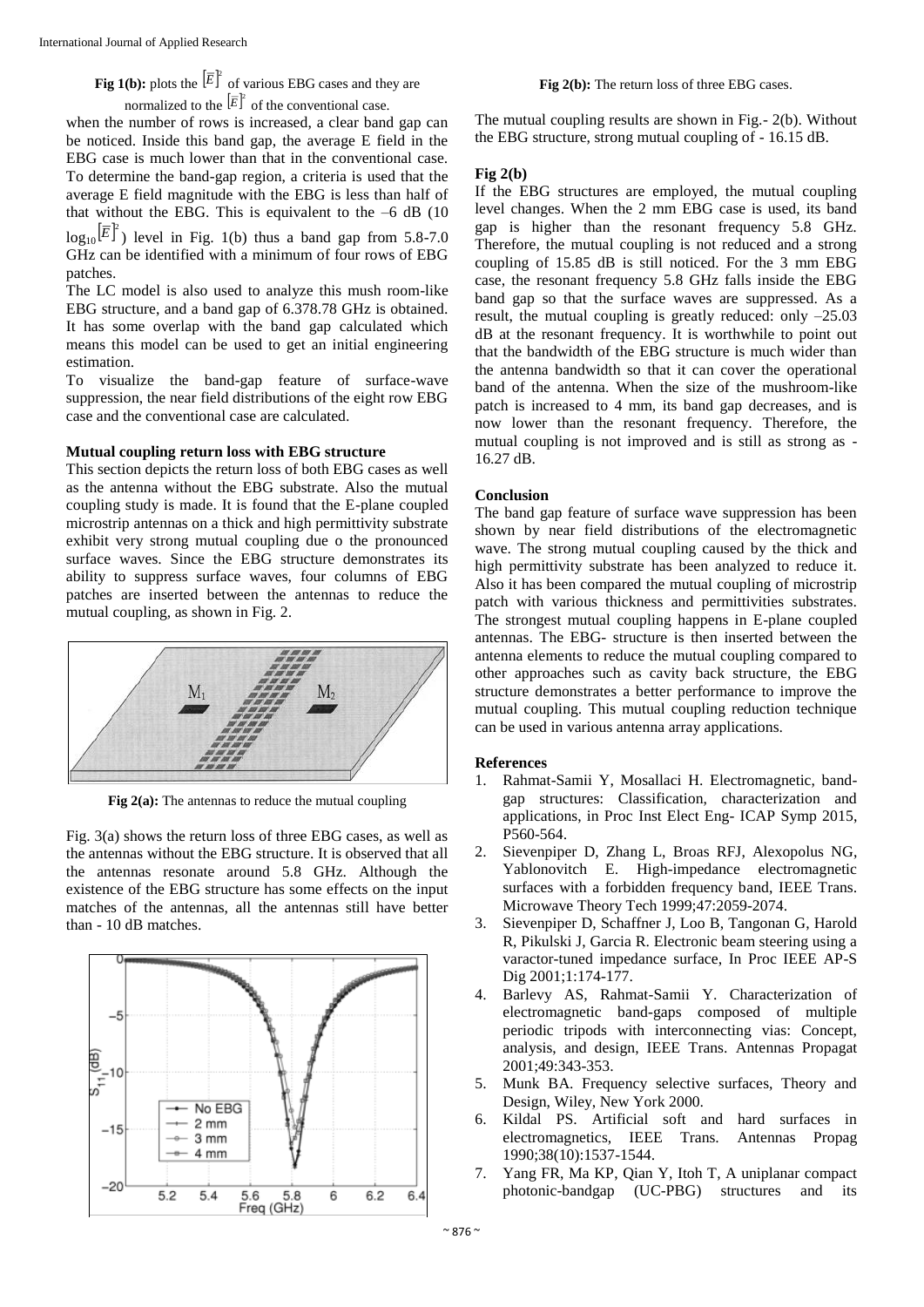**Fig 1(b):** plots the  $\left[\overline{E}\right]^2$  of various EBG cases and they are normalized to the  $\left[\overline{E}\right]^2$  of the conventional case.

when the number of rows is increased, a clear band gap can be noticed. Inside this band gap, the average E field in the EBG case is much lower than that in the conventional case. To determine the band-gap region, a criteria is used that the average E field magnitude with the EBG is less than half of that without the EBG. This is equivalent to the  $-6$  dB (10)  $log_{10}[\overline{E}]^2$ ) level in Fig. 1(b) thus a band gap from 5.8-7.0 GHz can be identified with a minimum of four rows of EBG

patches. The LC model is also used to analyze this mush room-like EBG structure, and a band gap of 6.378.78 GHz is obtained. It has some overlap with the band gap calculated which means this model can be used to get an initial engineering

estimation. To visualize the band-gap feature of surface-wave suppression, the near field distributions of the eight row EBG case and the conventional case are calculated.

### **Mutual coupling return loss with EBG structure**

This section depicts the return loss of both EBG cases as well as the antenna without the EBG substrate. Also the mutual coupling study is made. It is found that the E-plane coupled microstrip antennas on a thick and high permittivity substrate exhibit very strong mutual coupling due o the pronounced surface waves. Since the EBG structure demonstrates its ability to suppress surface waves, four columns of EBG patches are inserted between the antennas to reduce the mutual coupling, as shown in Fig. 2.



**Fig 2(a):** The antennas to reduce the mutual coupling

Fig. 3(a) shows the return loss of three EBG cases, as well as the antennas without the EBG structure. It is observed that all the antennas resonate around 5.8 GHz. Although the existence of the EBG structure has some effects on the input matches of the antennas, all the antennas still have better than - 10 dB matches.



**Fig 2(b):** The return loss of three EBG cases.

The mutual coupling results are shown in Fig.- 2(b). Without the EBG structure, strong mutual coupling of - 16.15 dB.

# **Fig 2(b)**

If the EBG structures are employed, the mutual coupling level changes. When the 2 mm EBG case is used, its band gap is higher than the resonant frequency 5.8 GHz. Therefore, the mutual coupling is not reduced and a strong coupling of 15.85 dB is still noticed. For the 3 mm EBG case, the resonant frequency 5.8 GHz falls inside the EBG band gap so that the surface waves are suppressed. As a result, the mutual coupling is greatly reduced: only –25.03 dB at the resonant frequency. It is worthwhile to point out that the bandwidth of the EBG structure is much wider than the antenna bandwidth so that it can cover the operational band of the antenna. When the size of the mushroom-like patch is increased to 4 mm, its band gap decreases, and is now lower than the resonant frequency. Therefore, the mutual coupling is not improved and is still as strong as - 16.27 dB.

# **Conclusion**

The band gap feature of surface wave suppression has been shown by near field distributions of the electromagnetic wave. The strong mutual coupling caused by the thick and high permittivity substrate has been analyzed to reduce it. Also it has been compared the mutual coupling of microstrip patch with various thickness and permittivities substrates. The strongest mutual coupling happens in E-plane coupled antennas. The EBG- structure is then inserted between the antenna elements to reduce the mutual coupling compared to other approaches such as cavity back structure, the EBG structure demonstrates a better performance to improve the mutual coupling. This mutual coupling reduction technique can be used in various antenna array applications.

# **References**

- 1. Rahmat-Samii Y, Mosallaci H. Electromagnetic, bandgap structures: Classification, characterization and applications, in Proc Inst Elect Eng- ICAP Symp 2015, P560-564.
- 2. Sievenpiper D, Zhang L, Broas RFJ, Alexopolus NG, Yablonovitch E. High-impedance electromagnetic surfaces with a forbidden frequency band, IEEE Trans. Microwave Theory Tech 1999;47:2059-2074.
- 3. Sievenpiper D, Schaffner J, Loo B, Tangonan G, Harold R, Pikulski J, Garcia R. Electronic beam steering using a varactor-tuned impedance surface, In Proc IEEE AP-S Dig 2001;1:174-177.
- 4. Barlevy AS, Rahmat-Samii Y. Characterization of electromagnetic band-gaps composed of multiple periodic tripods with interconnecting vias: Concept, analysis, and design, IEEE Trans. Antennas Propagat 2001;49:343-353.
- Munk BA. Frequency selective surfaces, Theory and Design, Wiley, New York 2000.
- 6. Kildal PS. Artificial soft and hard surfaces in electromagnetics, IEEE Trans. Antennas Propag 1990;38(10):1537-1544.
- 7. Yang FR, Ma KP, Qian Y, Itoh T, A uniplanar compact photonic-bandgap (UC-PBG) structures and its